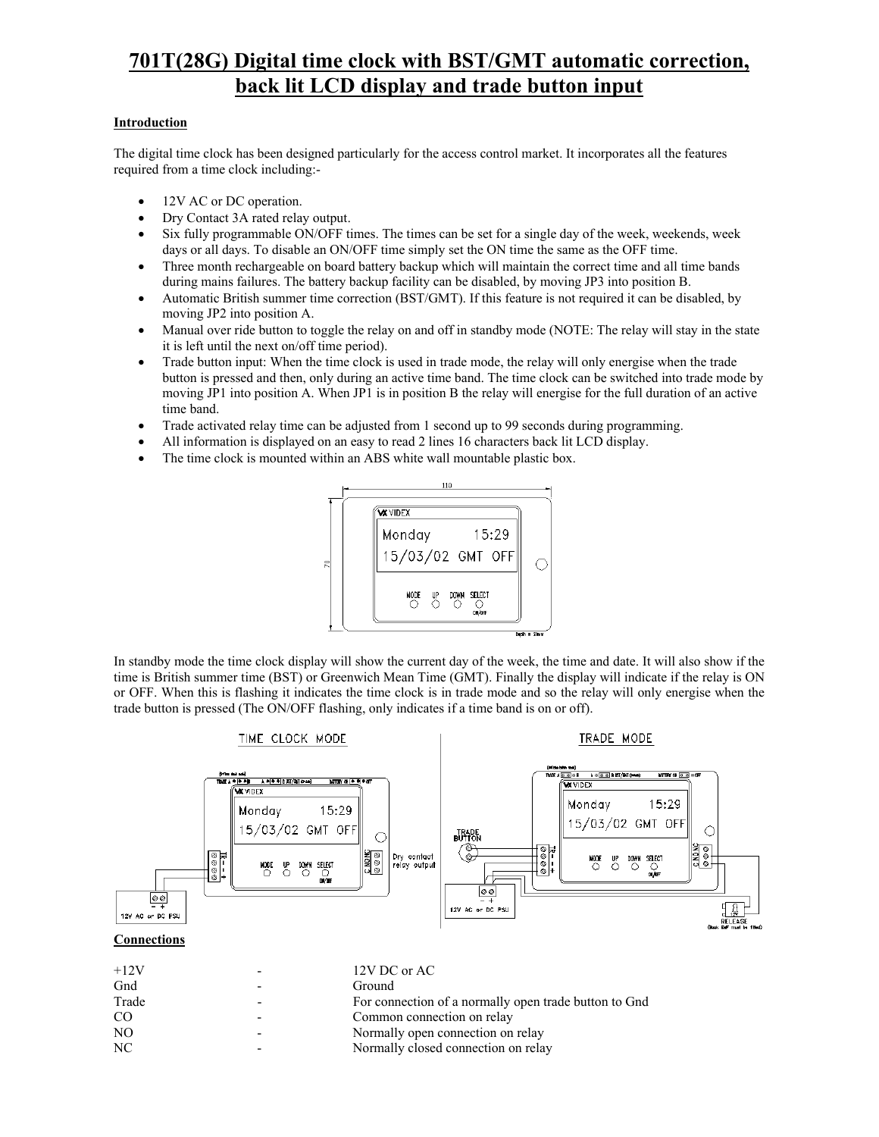# **701T(28G) Digital time clock with BST/GMT automatic correction, back lit LCD display and trade button input**

## **Introduction**

The digital time clock has been designed particularly for the access control market. It incorporates all the features required from a time clock including:-

- 12V AC or DC operation.
- Dry Contact 3A rated relay output.
- Six fully programmable ON/OFF times. The times can be set for a single day of the week, weekends, week days or all days. To disable an ON/OFF time simply set the ON time the same as the OFF time.
- Three month rechargeable on board battery backup which will maintain the correct time and all time bands during mains failures. The battery backup facility can be disabled, by moving JP3 into position B.
- Automatic British summer time correction (BST/GMT). If this feature is not required it can be disabled, by moving JP2 into position A.
- Manual over ride button to toggle the relay on and off in standby mode (NOTE: The relay will stay in the state it is left until the next on/off time period).
- Trade button input: When the time clock is used in trade mode, the relay will only energise when the trade button is pressed and then, only during an active time band. The time clock can be switched into trade mode by moving JP1 into position A. When JP1 is in position B the relay will energise for the full duration of an active time band.
- Trade activated relay time can be adjusted from 1 second up to 99 seconds during programming.
- All information is displayed on an easy to read 2 lines 16 characters back lit LCD display.
- The time clock is mounted within an ABS white wall mountable plastic box.



In standby mode the time clock display will show the current day of the week, the time and date. It will also show if the time is British summer time (BST) or Greenwich Mean Time (GMT). Finally the display will indicate if the relay is ON or OFF. When this is flashing it indicates the time clock is in trade mode and so the relay will only energise when the trade button is pressed (The ON/OFF flashing, only indicates if a time band is on or off).